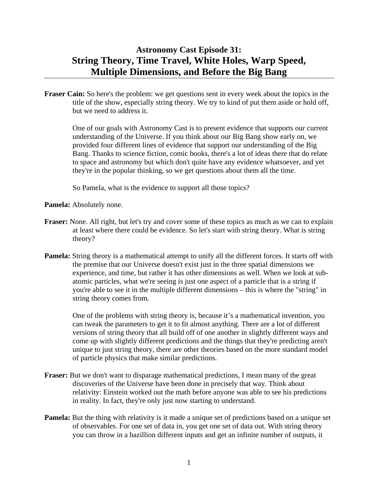# **Astronomy Cast Episode 31: String Theory, Time Travel, White Holes, Warp Speed, Multiple Dimensions, and Before the Big Bang**

**Fraser Cain:** So here's the problem: we get questions sent in every week about the topics in the title of the show, especially string theory. We try to kind of put them aside or hold off, but we need to address it.

 One of our goals with Astronomy Cast is to present evidence that supports our current understanding of the Universe. If you think about our Big Bang show early on, we provided four different lines of evidence that support our understanding of the Big Bang. Thanks to science fiction, comic books, there's a lot of ideas there that do relate to space and astronomy but which don't quite have any evidence whatsoever, and yet they're in the popular thinking, so we get questions about them all the time.

So Pamela, what is the evidence to support all those topics?

**Pamela:** Absolutely none.

- **Fraser:** None. All right, but let's try and cover some of these topics as much as we can to explain at least where there could be evidence. So let's start with string theory. What is string theory?
- **Pamela:** String theory is a mathematical attempt to unify all the different forces. It starts off with the premise that our Universe doesn't exist just in the three spatial dimensions we experience, and time, but rather it has other dimensions as well. When we look at subatomic particles, what we're seeing is just one aspect of a particle that is a string if you're able to see it in the multiple different dimensions – this is where the "string" in string theory comes from.

 One of the problems with string theory is, because it's a mathematical invention, you can tweak the parameters to get it to fit almost anything. There are a lot of different versions of string theory that all build off of one another in slightly different ways and come up with slightly different predictions and the things that they're predicting aren't unique to just string theory, there are other theories based on the more standard model of particle physics that make similar predictions.

- **Fraser:** But we don't want to disparage mathematical predictions, I mean many of the great discoveries of the Universe have been done in precisely that way. Think about relativity: Einstein worked out the math before anyone was able to see his predictions in reality. In fact, they're only just now starting to understand.
- **Pamela:** But the thing with relativity is it made a unique set of predictions based on a unique set of observables. For one set of data in, you get one set of data out. With string theory you can throw in a bazillion different inputs and get an infinite number of outputs, it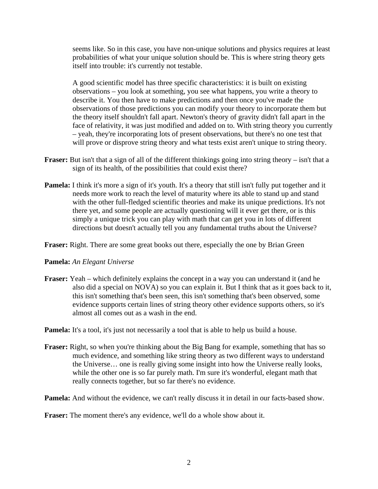seems like. So in this case, you have non-unique solutions and physics requires at least probabilities of what your unique solution should be. This is where string theory gets itself into trouble: it's currently not testable.

 A good scientific model has three specific characteristics: it is built on existing observations – you look at something, you see what happens, you write a theory to describe it. You then have to make predictions and then once you've made the observations of those predictions you can modify your theory to incorporate them but the theory itself shouldn't fall apart. Newton's theory of gravity didn't fall apart in the face of relativity, it was just modified and added on to. With string theory you currently – yeah, they're incorporating lots of present observations, but there's no one test that will prove or disprove string theory and what tests exist aren't unique to string theory.

- **Fraser:** But isn't that a sign of all of the different thinkings going into string theory isn't that a sign of its health, of the possibilities that could exist there?
- **Pamela:** I think it's more a sign of it's youth. It's a theory that still isn't fully put together and it needs more work to reach the level of maturity where its able to stand up and stand with the other full-fledged scientific theories and make its unique predictions. It's not there yet, and some people are actually questioning will it ever get there, or is this simply a unique trick you can play with math that can get you in lots of different directions but doesn't actually tell you any fundamental truths about the Universe?

**Fraser:** Right. There are some great books out there, especially the one by Brian Green

### **Pamela:** *An Elegant Universe*

**Fraser:** Yeah – which definitely explains the concept in a way you can understand it (and he also did a special on NOVA) so you can explain it. But I think that as it goes back to it, this isn't something that's been seen, this isn't something that's been observed, some evidence supports certain lines of string theory other evidence supports others, so it's almost all comes out as a wash in the end.

**Pamela:** It's a tool, it's just not necessarily a tool that is able to help us build a house.

**Fraser:** Right, so when you're thinking about the Big Bang for example, something that has so much evidence, and something like string theory as two different ways to understand the Universe… one is really giving some insight into how the Universe really looks, while the other one is so far purely math. I'm sure it's wonderful, elegant math that really connects together, but so far there's no evidence.

**Pamela:** And without the evidence, we can't really discuss it in detail in our facts-based show.

**Fraser:** The moment there's any evidence, we'll do a whole show about it.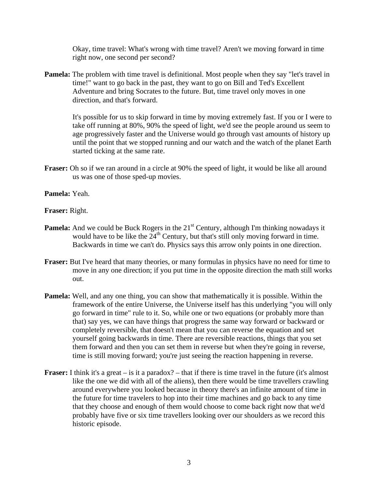Okay, time travel: What's wrong with time travel? Aren't we moving forward in time right now, one second per second?

**Pamela:** The problem with time travel is definitional. Most people when they say "let's travel in time!" want to go back in the past, they want to go on Bill and Ted's Excellent Adventure and bring Socrates to the future. But, time travel only moves in one direction, and that's forward.

 It's possible for us to skip forward in time by moving extremely fast. If you or I were to take off running at 80%, 90% the speed of light, we'd see the people around us seem to age progressively faster and the Universe would go through vast amounts of history up until the point that we stopped running and our watch and the watch of the planet Earth started ticking at the same rate.

**Fraser:** Oh so if we ran around in a circle at 90% the speed of light, it would be like all around us was one of those sped-up movies.

**Pamela:** Yeah.

**Fraser:** Right.

- **Pamela:** And we could be Buck Rogers in the 21<sup>st</sup> Century, although I'm thinking nowadays it would have to be like the  $24<sup>th</sup>$  Century, but that's still only moving forward in time. Backwards in time we can't do. Physics says this arrow only points in one direction.
- **Fraser:** But I've heard that many theories, or many formulas in physics have no need for time to move in any one direction; if you put time in the opposite direction the math still works out.
- **Pamela:** Well, and any one thing, you can show that mathematically it is possible. Within the framework of the entire Universe, the Universe itself has this underlying "you will only go forward in time" rule to it. So, while one or two equations (or probably more than that) say yes, we can have things that progress the same way forward or backward or completely reversible, that doesn't mean that you can reverse the equation and set yourself going backwards in time. There are reversible reactions, things that you set them forward and then you can set them in reverse but when they're going in reverse, time is still moving forward; you're just seeing the reaction happening in reverse.
- **Fraser:** I think it's a great is it a paradox? that if there is time travel in the future (it's almost like the one we did with all of the aliens), then there would be time travellers crawling around everywhere you looked because in theory there's an infinite amount of time in the future for time travelers to hop into their time machines and go back to any time that they choose and enough of them would choose to come back right now that we'd probably have five or six time travellers looking over our shoulders as we record this historic episode.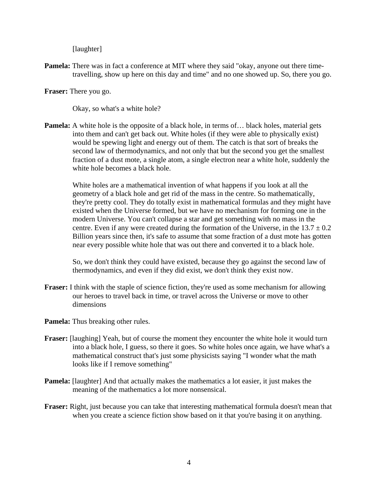## [laughter]

**Pamela:** There was in fact a conference at MIT where they said "okay, anyone out there timetravelling, show up here on this day and time" and no one showed up. So, there you go.

**Fraser:** There you go.

Okay, so what's a white hole?

**Pamela:** A white hole is the opposite of a black hole, in terms of... black holes, material gets into them and can't get back out. White holes (if they were able to physically exist) would be spewing light and energy out of them. The catch is that sort of breaks the second law of thermodynamics, and not only that but the second you get the smallest fraction of a dust mote, a single atom, a single electron near a white hole, suddenly the white hole becomes a black hole.

 White holes are a mathematical invention of what happens if you look at all the geometry of a black hole and get rid of the mass in the centre. So mathematically, they're pretty cool. They do totally exist in mathematical formulas and they might have existed when the Universe formed, but we have no mechanism for forming one in the modern Universe. You can't collapse a star and get something with no mass in the centre. Even if any were created during the formation of the Universe, in the  $13.7 \pm 0.2$ Billion years since then, it's safe to assume that some fraction of a dust mote has gotten near every possible white hole that was out there and converted it to a black hole.

 So, we don't think they could have existed, because they go against the second law of thermodynamics, and even if they did exist, we don't think they exist now.

- **Fraser:** I think with the staple of science fiction, they're used as some mechanism for allowing our heroes to travel back in time, or travel across the Universe or move to other dimensions
- **Pamela:** Thus breaking other rules.
- **Fraser:** [laughing] Yeah, but of course the moment they encounter the white hole it would turn into a black hole, I guess, so there it goes. So white holes once again, we have what's a mathematical construct that's just some physicists saying "I wonder what the math looks like if I remove something"
- **Pamela:** [laughter] And that actually makes the mathematics a lot easier, it just makes the meaning of the mathematics a lot more nonsensical.
- **Fraser:** Right, just because you can take that interesting mathematical formula doesn't mean that when you create a science fiction show based on it that you're basing it on anything.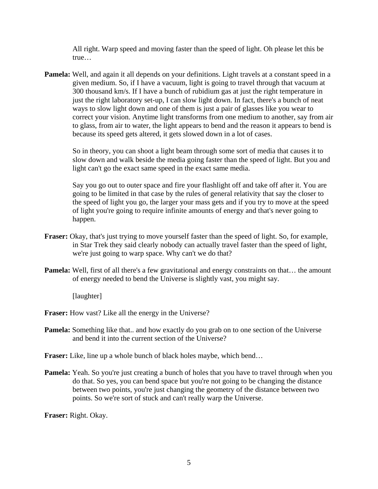All right. Warp speed and moving faster than the speed of light. Oh please let this be true…

**Pamela:** Well, and again it all depends on your definitions. Light travels at a constant speed in a given medium. So, if I have a vacuum, light is going to travel through that vacuum at 300 thousand km/s. If I have a bunch of rubidium gas at just the right temperature in just the right laboratory set-up, I can slow light down. In fact, there's a bunch of neat ways to slow light down and one of them is just a pair of glasses like you wear to correct your vision. Anytime light transforms from one medium to another, say from air to glass, from air to water, the light appears to bend and the reason it appears to bend is because its speed gets altered, it gets slowed down in a lot of cases.

 So in theory, you can shoot a light beam through some sort of media that causes it to slow down and walk beside the media going faster than the speed of light. But you and light can't go the exact same speed in the exact same media.

 Say you go out to outer space and fire your flashlight off and take off after it. You are going to be limited in that case by the rules of general relativity that say the closer to the speed of light you go, the larger your mass gets and if you try to move at the speed of light you're going to require infinite amounts of energy and that's never going to happen.

- **Fraser:** Okay, that's just trying to move yourself faster than the speed of light. So, for example, in Star Trek they said clearly nobody can actually travel faster than the speed of light, we're just going to warp space. Why can't we do that?
- **Pamela:** Well, first of all there's a few gravitational and energy constraints on that... the amount of energy needed to bend the Universe is slightly vast, you might say.

[laughter]

**Fraser:** How vast? Like all the energy in the Universe?

**Pamela:** Something like that.. and how exactly do you grab on to one section of the Universe and bend it into the current section of the Universe?

**Fraser:** Like, line up a whole bunch of black holes maybe, which bend...

**Pamela:** Yeah. So you're just creating a bunch of holes that you have to travel through when you do that. So yes, you can bend space but you're not going to be changing the distance between two points, you're just changing the geometry of the distance between two points. So we're sort of stuck and can't really warp the Universe.

**Fraser:** Right. Okay.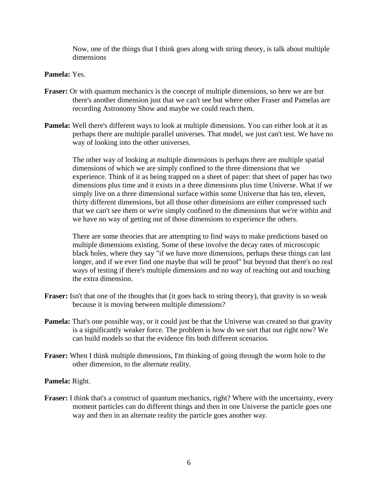Now, one of the things that I think goes along with string theory, is talk about multiple dimensions

## **Pamela:** Yes.

- **Fraser:** Or with quantum mechanics is the concept of multiple dimensions, so here we are but there's another dimension just that we can't see but where other Fraser and Pamelas are recording Astronomy Show and maybe we could reach them.
- **Pamela:** Well there's different ways to look at multiple dimensions. You can either look at it as perhaps there are multiple parallel universes. That model, we just can't test. We have no way of looking into the other universes.

 The other way of looking at multiple dimensions is perhaps there are multiple spatial dimensions of which we are simply confined to the three dimensions that we experience. Think of it as being trapped on a sheet of paper: that sheet of paper has two dimensions plus time and it exists in a three dimensions plus time Universe. What if we simply live on a three dimensional surface within some Universe that has ten, eleven, thirty different dimensions, but all those other dimensions are either compressed such that we can't see them or we're simply confined to the dimensions that we're within and we have no way of getting out of those dimensions to experience the others.

 There are some theories that are attempting to find ways to make predictions based on multiple dimensions existing. Some of these involve the decay rates of microscopic black holes, where they say "if we have more dimensions, perhaps these things can last longer, and if we ever find one maybe that will be proof" but beyond that there's no real ways of testing if there's multiple dimensions and no way of reaching out and touching the extra dimension.

- **Fraser:** Isn't that one of the thoughts that (it goes back to string theory), that gravity is so weak because it is moving between multiple dimensions?
- **Pamela:** That's one possible way, or it could just be that the Universe was created so that gravity is a significantly weaker force. The problem is how do we sort that out right now? We can build models so that the evidence fits both different scenarios.
- **Fraser:** When I think multiple dimensions, I'm thinking of going through the worm hole to the other dimension, to the alternate reality.

### **Pamela:** Right.

**Fraser:** I think that's a construct of quantum mechanics, right? Where with the uncertainty, every moment particles can do different things and then in one Universe the particle goes one way and then in an alternate reality the particle goes another way.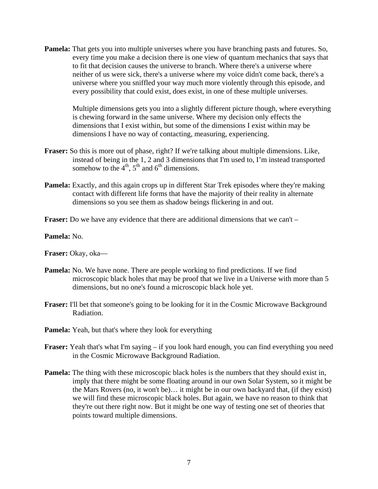**Pamela:** That gets you into multiple universes where you have branching pasts and futures. So, every time you make a decision there is one view of quantum mechanics that says that to fit that decision causes the universe to branch. Where there's a universe where neither of us were sick, there's a universe where my voice didn't come back, there's a universe where you sniffled your way much more violently through this episode, and every possibility that could exist, does exist, in one of these multiple universes.

 Multiple dimensions gets you into a slightly different picture though, where everything is chewing forward in the same universe. Where my decision only effects the dimensions that I exist within, but some of the dimensions I exist within may be dimensions I have no way of contacting, measuring, experiencing.

- **Fraser:** So this is more out of phase, right? If we're talking about multiple dimensions. Like, instead of being in the 1, 2 and 3 dimensions that I'm used to, I'm instead transported somehow to the  $4<sup>th</sup>$ ,  $5<sup>th</sup>$  and  $6<sup>th</sup>$  dimensions.
- **Pamela:** Exactly, and this again crops up in different Star Trek episodes where they're making contact with different life forms that have the majority of their reality in alternate dimensions so you see them as shadow beings flickering in and out.
- **Fraser:** Do we have any evidence that there are additional dimensions that we can't –

**Pamela:** No.

**Fraser:** Okay, oka—

- **Pamela:** No. We have none. There are people working to find predictions. If we find microscopic black holes that may be proof that we live in a Universe with more than 5 dimensions, but no one's found a microscopic black hole yet.
- **Fraser:** I'll bet that someone's going to be looking for it in the Cosmic Microwave Background Radiation.
- **Pamela:** Yeah, but that's where they look for everything
- **Fraser:** Yeah that's what I'm saying if you look hard enough, you can find everything you need in the Cosmic Microwave Background Radiation.
- **Pamela:** The thing with these microscopic black holes is the numbers that they should exist in, imply that there might be some floating around in our own Solar System, so it might be the Mars Rovers (no, it won't be)… it might be in our own backyard that, (if they exist) we will find these microscopic black holes. But again, we have no reason to think that they're out there right now. But it might be one way of testing one set of theories that points toward multiple dimensions.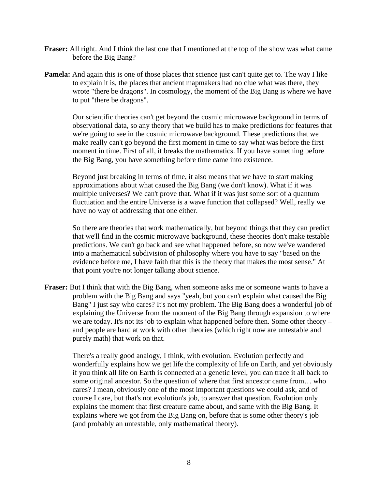- **Fraser:** All right. And I think the last one that I mentioned at the top of the show was what came before the Big Bang?
- **Pamela:** And again this is one of those places that science just can't quite get to. The way I like to explain it is, the places that ancient mapmakers had no clue what was there, they wrote "there be dragons". In cosmology, the moment of the Big Bang is where we have to put "there be dragons".

 Our scientific theories can't get beyond the cosmic microwave background in terms of observational data, so any theory that we build has to make predictions for features that we're going to see in the cosmic microwave background. These predictions that we make really can't go beyond the first moment in time to say what was before the first moment in time. First of all, it breaks the mathematics. If you have something before the Big Bang, you have something before time came into existence.

 Beyond just breaking in terms of time, it also means that we have to start making approximations about what caused the Big Bang (we don't know). What if it was multiple universes? We can't prove that. What if it was just some sort of a quantum fluctuation and the entire Universe is a wave function that collapsed? Well, really we have no way of addressing that one either.

 So there are theories that work mathematically, but beyond things that they can predict that we'll find in the cosmic microwave background, these theories don't make testable predictions. We can't go back and see what happened before, so now we've wandered into a mathematical subdivision of philosophy where you have to say "based on the evidence before me, I have faith that this is the theory that makes the most sense." At that point you're not longer talking about science.

**Fraser:** But I think that with the Big Bang, when someone asks me or someone wants to have a problem with the Big Bang and says "yeah, but you can't explain what caused the Big Bang" I just say who cares? It's not my problem. The Big Bang does a wonderful job of explaining the Universe from the moment of the Big Bang through expansion to where we are today. It's not its job to explain what happened before then. Some other theory – and people are hard at work with other theories (which right now are untestable and purely math) that work on that.

 There's a really good analogy, I think, with evolution. Evolution perfectly and wonderfully explains how we get life the complexity of life on Earth, and yet obviously if you think all life on Earth is connected at a genetic level, you can trace it all back to some original ancestor. So the question of where that first ancestor came from… who cares? I mean, obviously one of the most important questions we could ask, and of course I care, but that's not evolution's job, to answer that question. Evolution only explains the moment that first creature came about, and same with the Big Bang. It explains where we got from the Big Bang on, before that is some other theory's job (and probably an untestable, only mathematical theory).